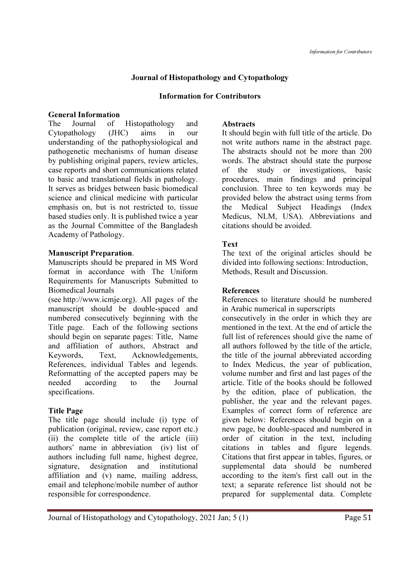## Journal of Histopathology and Cytopathology

#### Information for Contributors

#### General Information

The Journal of Histopathology and Cytopathology (JHC) aims in our understanding of the pathophysiological and pathogenetic mechanisms of human disease by publishing original papers, review articles, case reports and short communications related to basic and translational fields in pathology. It serves as bridges between basic biomedical science and clinical medicine with particular emphasis on, but is not restricted to, tissue based studies only. It is published twice a year as the Journal Committee of the Bangladesh Academy of Pathology.

### Manuscript Preparation.

Manuscripts should be prepared in MS Word format in accordance with The Uniform Requirements for Manuscripts Submitted to Biomedical Journals

(see http://www.icmje.org). All pages of the manuscript should be double-spaced and numbered consecutively beginning with the Title page. Each of the following sections should begin on separate pages: Title, Name and affiliation of authors, Abstract and Keywords, Text, Acknowledgements, References, individual Tables and legends. Reformatting of the accepted papers may be needed according to the Journal specifications.

## Title Page

The title page should include (i) type of publication (original, review, case report etc.) (ii) the complete title of the article (iii) authors' name in abbreviation (iv) list of authors including full name, highest degree, signature, designation and institutional affiliation and (v) name, mailing address, email and telephone/mobile number of author responsible for correspondence.

### Abstracts

It should begin with full title of the article. Do not write authors name in the abstract page. The abstracts should not be more than 200 words. The abstract should state the purpose of the study or investigations, basic procedures, main findings and principal conclusion. Three to ten keywords may be provided below the abstract using terms from the Medical Subject Headings (Index Medicus, NLM, USA). Abbreviations and citations should be avoided.

## Text

The text of the original articles should be divided into following sections: Introduction, Methods, Result and Discussion.

## References

References to literature should be numbered in Arabic numerical in superscripts

consecutively in the order in which they are mentioned in the text. At the end of article the full list of references should give the name of all authors followed by the title of the article, the title of the journal abbreviated according to Index Medicus, the year of publication, volume number and first and last pages of the article. Title of the books should be followed by the edition, place of publication, the publisher, the year and the relevant pages. Examples of correct form of reference are given below: References should begin on a new page, be double-spaced and numbered in order of citation in the text, including citations in tables and figure legends. Citations that first appear in tables, figures, or supplemental data should be numbered according to the item's first call out in the text; a separate reference list should not be prepared for supplemental data. Complete

Journal of Histopathology and Cytopathology, 2021 Jan; 5 (1) Page 51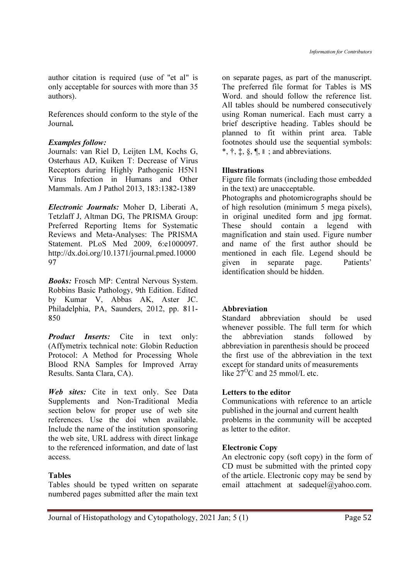author citation is required (use of "et al" is only acceptable for sources with more than 35 authors).

References should conform to the style of the Journal.

#### Examples follow:

Journals: van Riel D, Leijten LM, Kochs G, Osterhaus AD, Kuiken T: Decrease of Virus Receptors during Highly Pathogenic H5N1 Virus Infection in Humans and Other Mammals. Am J Pathol 2013, 183:1382-1389

Electronic Journals: Moher D, Liberati A, Tetzlaff J, Altman DG, The PRISMA Group: Preferred Reporting Items for Systematic Reviews and Meta-Analyses: The PRISMA Statement. PLoS Med 2009, 6:e1000097. http://dx.doi.org/10.1371/journal.pmed.10000 97

Books: Frosch MP: Central Nervous System. Robbins Basic Pathology, 9th Edition. Edited by Kumar V, Abbas AK, Aster JC. Philadelphia, PA, Saunders, 2012, pp. 811- 850

**Product Inserts:** Cite in text only: (Affymetrix technical note: Globin Reduction Protocol: A Method for Processing Whole Blood RNA Samples for Improved Array Results. Santa Clara, CA).

Web sites: Cite in text only. See Data Supplements and Non-Traditional Media section below for proper use of web site references. Use the doi when available. Include the name of the institution sponsoring the web site, URL address with direct linkage to the referenced information, and date of last access.

#### Tables

Tables should be typed written on separate numbered pages submitted after the main text on separate pages, as part of the manuscript. The preferred file format for Tables is MS Word. and should follow the reference list. All tables should be numbered consecutively using Roman numerical. Each must carry a brief descriptive heading. Tables should be planned to fit within print area. Table footnotes should use the sequential symbols: \*,  $\dagger$ ,  $\ddagger$ ,  $\ddagger$ ,  $\delta$ ,  $\P$ ,  $\parallel$  ; and abbreviations.

#### Illustrations

Figure file formats (including those embedded in the text) are unacceptable.

Photographs and photomicrographs should be of high resolution (minimum 5 mega pixels), in original unedited form and jpg format. These should contain a legend with magnification and stain used. Figure number and name of the first author should be mentioned in each file. Legend should be given in separate page. Patients' identification should be hidden.

#### Abbreviation

Standard abbreviation should be used whenever possible. The full term for which the abbreviation stands followed by abbreviation in parenthesis should be proceed the first use of the abbreviation in the text except for standard units of measurements like  $27^{\circ}$ C and 25 mmol/L etc.

#### Letters to the editor

Communications with reference to an article published in the journal and current health problems in the community will be accepted as letter to the editor.

#### Electronic Copy

An electronic copy (soft copy) in the form of CD must be submitted with the printed copy of the article. Electronic copy may be send by email attachment at sadequel@yahoo.com.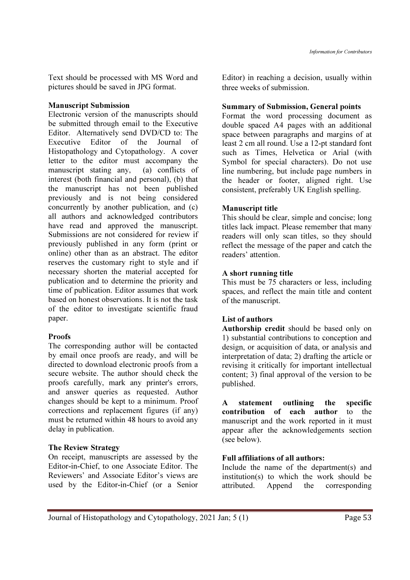Text should be processed with MS Word and pictures should be saved in JPG format.

#### Manuscript Submission

Electronic version of the manuscripts should be submitted through email to the Executive Editor. Alternatively send DVD/CD to: The Executive Editor of the Journal of Histopathology and Cytopathology. A cover letter to the editor must accompany the manuscript stating any, (a) conflicts of interest (both financial and personal), (b) that the manuscript has not been published previously and is not being considered concurrently by another publication, and (c) all authors and acknowledged contributors have read and approved the manuscript. Submissions are not considered for review if previously published in any form (print or online) other than as an abstract. The editor reserves the customary right to style and if necessary shorten the material accepted for publication and to determine the priority and time of publication. Editor assumes that work based on honest observations. It is not the task of the editor to investigate scientific fraud paper.

## **Proofs**

The corresponding author will be contacted by email once proofs are ready, and will be directed to download electronic proofs from a secure website. The author should check the proofs carefully, mark any printer's errors, and answer queries as requested. Author changes should be kept to a minimum. Proof corrections and replacement figures (if any) must be returned within 48 hours to avoid any delay in publication.

## The Review Strategy

On receipt, manuscripts are assessed by the Editor-in-Chief, to one Associate Editor. The Reviewers' and Associate Editor's views are used by the Editor-in-Chief (or a Senior

Editor) in reaching a decision, usually within three weeks of submission.

## Summary of Submission, General points

Format the word processing document as double spaced A4 pages with an additional space between paragraphs and margins of at least 2 cm all round. Use a 12-pt standard font such as Times, Helvetica or Arial (with Symbol for special characters). Do not use line numbering, but include page numbers in the header or footer, aligned right. Use consistent, preferably UK English spelling.

## Manuscript title

This should be clear, simple and concise; long titles lack impact. Please remember that many readers will only scan titles, so they should reflect the message of the paper and catch the readers' attention.

## A short running title

This must be 75 characters or less, including spaces, and reflect the main title and content of the manuscript.

# List of authors

Authorship credit should be based only on 1) substantial contributions to conception and design, or acquisition of data, or analysis and interpretation of data; 2) drafting the article or revising it critically for important intellectual content; 3) final approval of the version to be published.

A statement outlining the specific contribution of each author to the manuscript and the work reported in it must appear after the acknowledgements section (see below).

## Full affiliations of all authors:

Include the name of the department(s) and institution(s) to which the work should be attributed. Append the corresponding